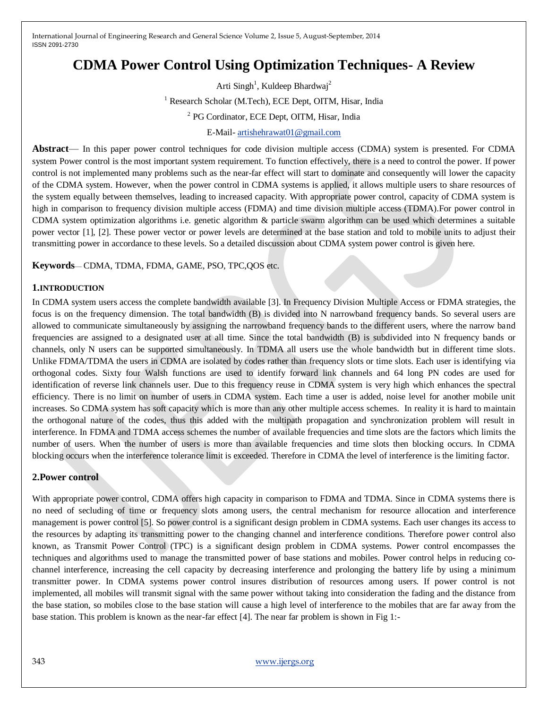# **CDMA Power Control Using Optimization Techniques- A Review**

Arti Singh<sup>1</sup>, Kuldeep Bhardwaj<sup>2</sup> <sup>1</sup> Research Scholar (M.Tech), ECE Dept, OITM, Hisar, India <sup>2</sup> PG Cordinator, ECE Dept, OITM, Hisar, India

## E-Mail- [artishehrawat01@gmail.com](mailto:artishehrawat01@gmail.com)

**Abstract**— In this paper power control techniques for code division multiple access (CDMA) system is presented. For CDMA system Power control is the most important system requirement. To function effectively, there is a need to control the power. If power control is not implemented many problems such as the near-far effect will start to dominate and consequently will lower the capacity of the CDMA system. However, when the power control in CDMA systems is applied, it allows multiple users to share resources of the system equally between themselves, leading to increased capacity. With appropriate power control, capacity of CDMA system is high in comparison to frequency division multiple access (FDMA) and time division multiple access (TDMA). For power control in CDMA system optimization algorithms i.e. genetic algorithm & particle swarm algorithm can be used which determines a suitable power vector [1], [2]. These power vector or power levels are determined at the base station and told to mobile units to adjust their transmitting power in accordance to these levels. So a detailed discussion about CDMA system power control is given here.

**Keywords**— CDMA, TDMA, FDMA, GAME, PSO, TPC,QOS etc.

#### **1.INTRODUCTION**

In CDMA system users access the complete bandwidth available [3]. In Frequency Division Multiple Access or FDMA strategies, the focus is on the frequency dimension. The total bandwidth (B) is divided into N narrowband frequency bands. So several users are allowed to communicate simultaneously by assigning the narrowband frequency bands to the different users, where the narrow band frequencies are assigned to a designated user at all time. Since the total bandwidth (B) is subdivided into N frequency bands or channels, only N users can be supported simultaneously. In TDMA all users use the whole bandwidth but in different time slots. Unlike FDMA/TDMA the users in CDMA are isolated by codes rather than frequency slots or time slots. Each user is identifying via orthogonal codes. Sixty four Walsh functions are used to identify forward link channels and 64 long PN codes are used for identification of reverse link channels user. Due to this frequency reuse in CDMA system is very high which enhances the spectral efficiency. There is no limit on number of users in CDMA system. Each time a user is added, noise level for another mobile unit increases. So CDMA system has soft capacity which is more than any other multiple access schemes. In reality it is hard to maintain the orthogonal nature of the codes, thus this added with the multipath propagation and synchronization problem will result in interference. In FDMA and TDMA access schemes the number of available frequencies and time slots are the factors which limits the number of users. When the number of users is more than available frequencies and time slots then blocking occurs. In CDMA blocking occurs when the interference tolerance limit is exceeded. Therefore in CDMA the level of interference is the limiting factor.

#### **2.Power control**

With appropriate power control, CDMA offers high capacity in comparison to FDMA and TDMA. Since in CDMA systems there is no need of secluding of time or frequency slots among users, the central mechanism for resource allocation and interference management is power control [5]. So power control is a significant design problem in CDMA systems. Each user changes its access to the resources by adapting its transmitting power to the changing channel and interference conditions. Therefore power control also known, as Transmit Power Control (TPC) is a significant design problem in CDMA systems. Power control encompasses the techniques and algorithms used to manage the transmitted power of base stations and mobiles. Power control helps in reducing cochannel interference, increasing the cell capacity by decreasing interference and prolonging the battery life by using a minimum transmitter power. In CDMA systems power control insures distribution of resources among users. If power control is not implemented, all mobiles will transmit signal with the same power without taking into consideration the fading and the distance from the base station, so mobiles close to the base station will cause a high level of interference to the mobiles that are far away from the base station. This problem is known as the near-far effect [4]. The near far problem is shown in Fig 1:-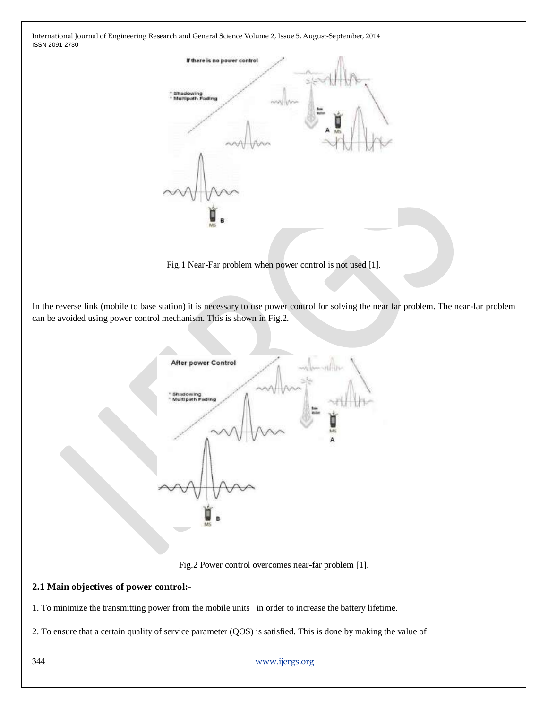

Fig.1 Near-Far problem when power control is not used [1].

In the reverse link (mobile to base station) it is necessary to use power control for solving the near far problem. The near-far problem can be avoided using power control mechanism. This is shown in Fig.2.



Fig.2 Power control overcomes near-far problem [1].

## **2.1 Main objectives of power control:-**

1. To minimize the transmitting power from the mobile units in order to increase the battery lifetime.

2. To ensure that a certain quality of service parameter (QOS) is satisfied. This is done by making the value of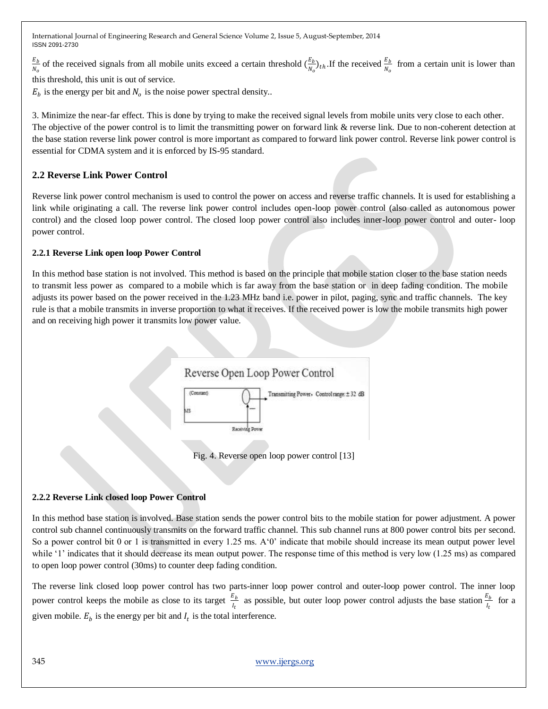$E_b$  $\frac{E_b}{N_o}$  of the received signals from all mobile units exceed a certain threshold  $(\frac{E_b}{N_o})$  $\frac{E_b}{N_o}$ )<sub>th</sub>. If the received  $\frac{E_b}{N_o}$  from a certain unit is lower than

this threshold, this unit is out of service.

 $E_b$  is the energy per bit and  $N_o$  is the noise power spectral density..

3. Minimize the near-far effect. This is done by trying to make the received signal levels from mobile units very close to each other. The objective of the power control is to limit the transmitting power on forward link & reverse link. Due to non-coherent detection at the base station reverse link power control is more important as compared to forward link power control. Reverse link power control is essential for CDMA system and it is enforced by IS-95 standard.

# **2.2 Reverse Link Power Control**

Reverse link power control mechanism is used to control the power on access and reverse traffic channels. It is used for establishing a link while originating a call. The reverse link power control includes open-loop power control (also called as autonomous power control) and the closed loop power control. The closed loop power control also includes inner-loop power control and outer- loop power control.

## **2.2.1 Reverse Link open loop Power Control**

In this method base station is not involved. This method is based on the principle that mobile station closer to the base station needs to transmit less power as compared to a mobile which is far away from the base station or in deep fading condition. The mobile adjusts its power based on the power received in the 1.23 MHz band i.e. power in pilot, paging, sync and traffic channels. The key rule is that a mobile transmits in inverse proportion to what it receives. If the received power is low the mobile transmits high power and on receiving high power it transmits low power value.



Fig. 4. Reverse open loop power control [13]

# **2.2.2 Reverse Link closed loop Power Control**

In this method base station is involved. Base station sends the power control bits to the mobile station for power adjustment. A power control sub channel continuously transmits on the forward traffic channel. This sub channel runs at 800 power control bits per second. So a power control bit 0 or 1 is transmitted in every 1.25 ms.  $A<sup>0</sup>$  indicate that mobile should increase its mean output power level while '1' indicates that it should decrease its mean output power. The response time of this method is very low (1.25 ms) as compared to open loop power control (30ms) to counter deep fading condition.

The reverse link closed loop power control has two parts-inner loop power control and outer-loop power control. The inner loop power control keeps the mobile as close to its target  $\frac{E_b}{l_t}$  as possible, but outer loop power control adjusts the base station  $\frac{E_b}{l_t}$  for a given mobile.  $E_b$  is the energy per bit and  $I_t$  is the total interference.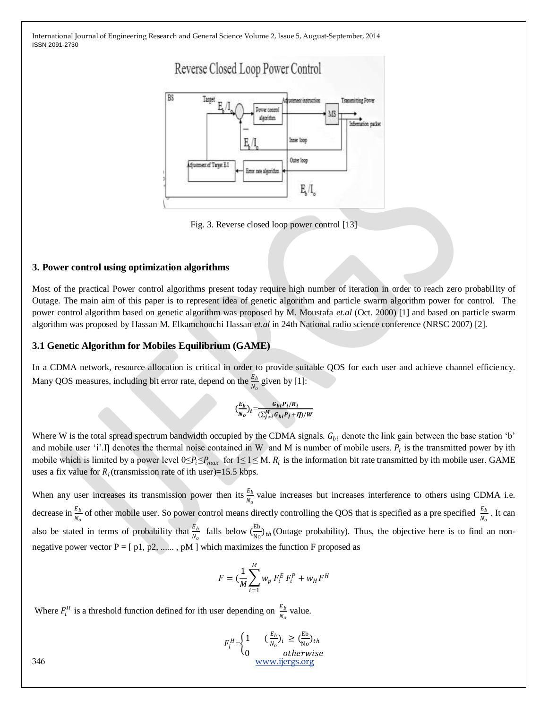

Fig. 3. Reverse closed loop power control [13]

#### **3. Power control using optimization algorithms**

Most of the practical Power control algorithms present today require high number of iteration in order to reach zero probability of Outage. The main aim of this paper is to represent idea of genetic algorithm and particle swarm algorithm power for control. The power control algorithm based on genetic algorithm was proposed by M. Moustafa *et.al* (Oct. 2000) [1] and based on particle swarm algorithm was proposed by Hassan M. Elkamchouchi Hassan *et.al* in 24th National radio science conference (NRSC 2007) [2].

#### **3.1 Genetic Algorithm for Mobiles Equilibrium (GAME)**

In a CDMA network, resource allocation is critical in order to provide suitable QOS for each user and achieve channel efficiency. Many QOS measures, including bit error rate, depend on the  $\frac{E_b}{N_o}$  given by [1]:

$$
\left(\frac{E_b}{N_o}\right)_i = \frac{G_{bi}P_i/R_i}{\left(\sum_{j\neq i}^M G_{bi}P_j + I\right)/W}
$$

Where W is the total spread spectrum bandwidth occupied by the CDMA signals.  $G_{bi}$  denote the link gain between the base station 'b' and mobile user 'i'. I denotes the thermal noise contained in W and M is number of mobile users.  $P_i$  is the transmitted power by ith mobile which is limited by a power level  $0 \le P_i \le P_{max}$  for  $1 \le I \le M$ .  $R_i$  is the information bit rate transmitted by ith mobile user. GAME uses a fix value for  $R_i$  (transmission rate of ith user)=15.5 kbps.

When any user increases its transmission power then its  $\frac{E_b}{N_o}$  value increases but increases interference to others using CDMA i.e. decrease in  $\frac{E_b}{N_o}$  of other mobile user. So power control means directly controlling the QOS that is specified as a pre specified  $\frac{E_b}{N_o}$ . It can also be stated in terms of probability that  $\frac{E_b}{N_o}$  falls below  $\left(\frac{E_b}{N_o}\right)$  $\frac{10}{\text{No}}$ <sub>th</sub>(Outage probability). Thus, the objective here is to find an nonnegative power vector  $P = [p1, p2, \dots, pM]$  which maximizes the function F proposed as

$$
F = (\frac{1}{M} \sum_{i=1}^{M} w_p F_i^E F_i^P + w_H F^H
$$

Where  $F_i^H$  is a threshold function defined for ith user depending on  $\frac{E_b}{N_o}$  value.

$$
F_i^H = \begin{cases} 1 & \left(\frac{E_b}{N_o}\right)_i \ge \left(\frac{E_b}{N_o}\right)_{th} \\ 0 & \text{otherwise} \end{cases}
$$
\n
$$
\frac{\text{www.ijergs.org}}{2}
$$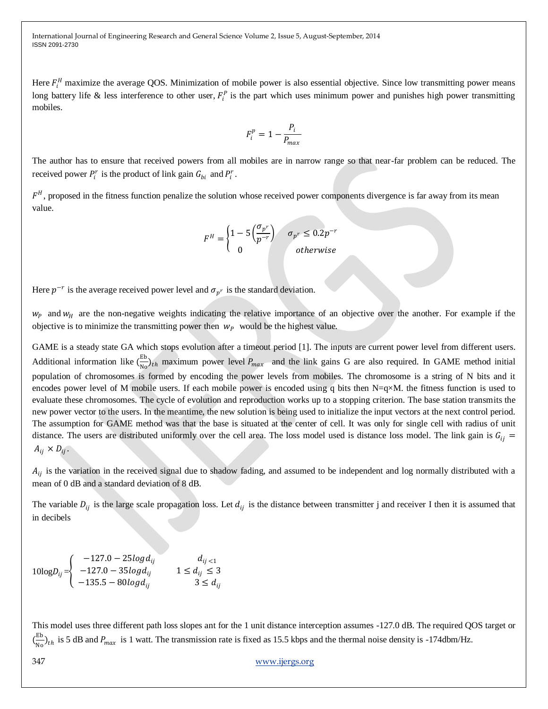Here  $F_i^H$  maximize the average QOS. Minimization of mobile power is also essential objective. Since low transmitting power means long battery life & less interference to other user,  $F_i^p$  is the part which uses minimum power and punishes high power transmitting mobiles.

$$
F_i^p = 1 - \frac{P_i}{P_{max}}
$$

The author has to ensure that received powers from all mobiles are in narrow range so that near-far problem can be reduced. The received power  $P_i^r$  is the product of link gain  $G_{bi}$  and  $P_i^r$ .

 $F<sup>H</sup>$ , proposed in the fitness function penalize the solution whose received power components divergence is far away from its mean value.

$$
F^{H} = \begin{cases} 1 - 5\left(\frac{\sigma_{p^r}}{p^{-r}}\right) & \sigma_{p^r} \le 0.2p^{-r} \\ 0 & otherwise \end{cases}
$$

Here  $p^{-r}$  is the average received power level and  $\sigma_{p^r}$  is the standard deviation.

 $w_p$  and  $w_H$  are the non-negative weights indicating the relative importance of an objective over the another. For example if the objective is to minimize the transmitting power then  $w_p$  would be the highest value.

GAME is a steady state GA which stops evolution after a timeout period [1]. The inputs are current power level from different users. Additional information like  $\left(\frac{E}{N}\right)$  $\frac{E}{N_0}\bigg\rangle_{th}$  maximum power level  $P_{max}$  and the link gains G are also required. In GAME method initial population of chromosomes is formed by encoding the power levels from mobiles. The chromosome is a string of N bits and it encodes power level of M mobile users. If each mobile power is encoded using q bits then N=q×M. the fitness function is used to evaluate these chromosomes. The cycle of evolution and reproduction works up to a stopping criterion. The base station transmits the new power vector to the users. In the meantime, the new solution is being used to initialize the input vectors at the next control period. The assumption for GAME method was that the base is situated at the center of cell. It was only for single cell with radius of unit distance. The users are distributed uniformly over the cell area. The loss model used is distance loss model. The link gain is  $G_{ii}$  =  $A_{ij} \times D_{ij}$ .

 $A_{ij}$  is the variation in the received signal due to shadow fading, and assumed to be independent and log normally distributed with a mean of 0 dB and a standard deviation of 8 dB.

The variable  $D_{ij}$  is the large scale propagation loss. Let  $d_{ij}$  is the distance between transmitter j and receiver I then it is assumed that in decibels

$$
10\log D_{ij} =\n \begin{cases}\n -127.0 - 25\log d_{ij} & d_{ij < 1 \\
-127.0 - 35\log d_{ij} & 1 \le d_{ij} \le 3 \\
-135.5 - 80\log d_{ij} & 3 \le d_{ij}\n \end{cases}
$$

This model uses three different path loss slopes ant for the 1 unit distance interception assumes -127.0 dB. The required QOS target or  $\left(\frac{E}{v}\right)$  $\frac{10}{10}$  h is 5 dB and  $P_{max}$  is 1 watt. The transmission rate is fixed as 15.5 kbps and the thermal noise density is -174dbm/Hz.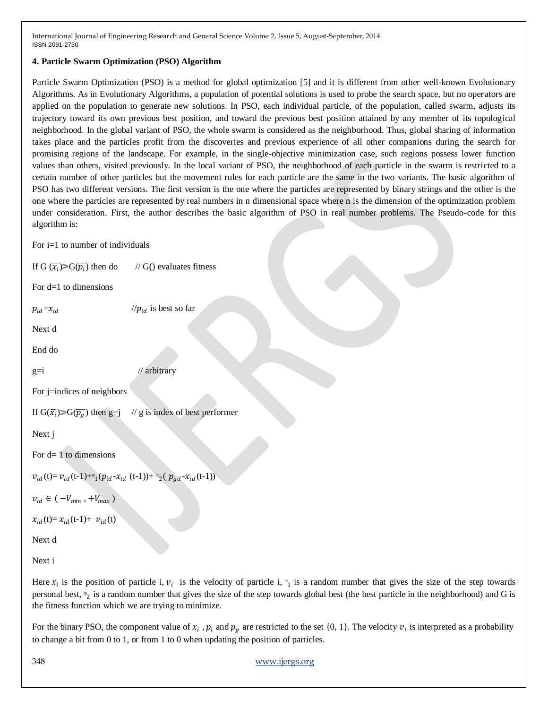## **4. Particle Swarm Optimization (PSO) Algorithm**

Particle Swarm Optimization (PSO) is a method for global optimization [5] and it is different from other well-known Evolutionary Algorithms. As in Evolutionary Algorithms, a population of potential solutions is used to probe the search space, but no operators are applied on the population to generate new solutions. In PSO, each individual particle, of the population, called swarm, adjusts its trajectory toward its own previous best position, and toward the previous best position attained by any member of its topological neighborhood. In the global variant of PSO, the whole swarm is considered as the neighborhood. Thus, global sharing of information takes place and the particles profit from the discoveries and previous experience of all other companions during the search for promising regions of the landscape. For example, in the single-objective minimization case, such regions possess lower function values than others, visited previously. In the local variant of PSO, the neighborhood of each particle in the swarm is restricted to a certain number of other particles but the movement rules for each particle are the same in the two variants. The basic algorithm of PSO has two different versions. The first version is the one where the particles are represented by binary strings and the other is the one where the particles are represented by real numbers in n dimensional space where n is the dimension of the optimization problem under consideration. First, the author describes the basic algorithm of PSO in real number problems. The Pseudo-code for this algorithm is:

For  $i=1$  to number of individuals

If G  $(\bar{x_i})>G(\bar{p_i})$  $\frac{1}{16}$  G() evaluates fitness

 $\frac{1}{p_{id}}$  is best so far

For d=1 to dimensions

 $p_{id} = x_{id}$ 

Next d

End do

 $g=i$  // arbitrary

For j=indices of neighbors

If  $G(\overline{x_i}) > G(\overline{p_q})$  then g=j  $\frac{1}{2}$  is index of best performer

Next j

For  $d=1$  to dimensions

 $v_{id}$ (t)=  $v_{id}$ (t-1)+ $\frac{\varphi_{id}}{v_{id}}$ - $x_{id}$  (t-1))+ $\frac{\varphi_{2}}{v_{gd}}$ - $x_{id}$ (t-1))

 $v_{id} \in (-V_{min}, +V_{max})$ 

 $x_{id}(t) = x_{id}(t-1) + v_{id}(t)$ 

Next d

Next i

Here  $x_i$  is the position of particle i,  $v_i$  is the velocity of particle i,  $\mathfrak{v}_1$  is a random number that gives the size of the step towards personal best,  $\mathcal{P}_2$  is a random number that gives the size of the step towards global best (the best particle in the neighborhood) and G is the fitness function which we are trying to minimize.

For the binary PSO, the component value of  $x_i$ ,  $p_i$  and  $p_g$  are restricted to the set {0, 1}. The velocity  $v_i$  is interpreted as a probability to change a bit from 0 to 1, or from 1 to 0 when updating the position of particles.

348 [www.ijergs.org](http://www.ijergs.org/)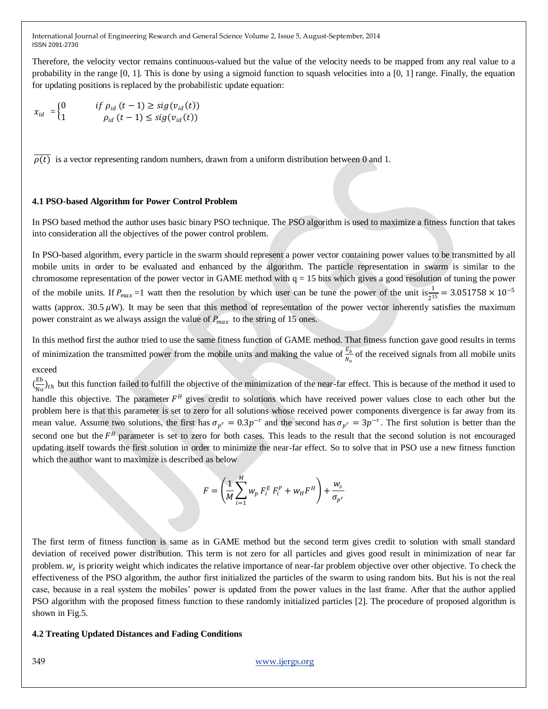Therefore, the velocity vector remains continuous-valued but the value of the velocity needs to be mapped from any real value to a probability in the range [0, 1]. This is done by using a sigmoid function to squash velocities into a [0, 1] range. Finally, the equation for updating positions is replaced by the probabilistic update equation:

$$
x_{id} = \begin{cases} 0 & \text{if } \rho_{id} \left( t - 1 \right) \geq sig(v_{id}(t)) \\ 1 & \rho_{id} \left( t - 1 \right) \leq sig(v_{id}(t)) \end{cases}
$$

 $\overline{\rho(t)}$  is a vector representing random numbers, drawn from a uniform distribution between 0 and 1.

#### **4.1 PSO-based Algorithm for Power Control Problem**

In PSO based method the author uses basic binary PSO technique. The PSO algorithm is used to maximize a fitness function that takes into consideration all the objectives of the power control problem.

In PSO-based algorithm, every particle in the swarm should represent a power vector containing power values to be transmitted by all mobile units in order to be evaluated and enhanced by the algorithm. The particle representation in swarm is similar to the chromosome representation of the power vector in GAME method with  $q = 15$  bits which gives a good resolution of tuning the power of the mobile units. If  $P_{max} = 1$  watt then the resolution by which user can be tune the power of the unit is  $\frac{1}{2^{15}} = 3.051758 \times 10^{-5}$ watts (approx.  $30.5 \mu$ W). It may be seen that this method of representation of the power vector inherently satisfies the maximum power constraint as we always assign the value of  $P_{max}$  to the string of 15 ones.

In this method first the author tried to use the same fitness function of GAME method. That fitness function gave good results in terms of minimization the transmitted power from the mobile units and making the value of  $\frac{E_b}{N_o}$  of the received signals from all mobile units

## exceed

 $\left(\frac{E}{N}\right)$  $\frac{10}{10}$ <sub>th</sub> but this function failed to fulfill the objective of the minimization of the near-far effect. This is because of the method it used to handle this objective. The parameter  $F^H$  gives credit to solutions which have received power values close to each other but the problem here is that this parameter is set to zero for all solutions whose received power components divergence is far away from its mean value. Assume two solutions, the first has  $\sigma_{p^r} = 0.3p^{-r}$  and the second has  $\sigma_{p^r} = 3p^{-r}$ . The first solution is better than the second one but the  $F<sup>H</sup>$  parameter is set to zero for both cases. This leads to the result that the second solution is not encouraged updating itself towards the first solution in order to minimize the near-far effect. So to solve that in PSO use a new fitness function which the author want to maximize is described as below

$$
F = \left(\frac{1}{M} \sum_{i=1}^{M} w_p F_i^E F_i^P + w_H F^H\right) + \frac{w_s}{\sigma_{p^r}}
$$

The first term of fitness function is same as in GAME method but the second term gives credit to solution with small standard deviation of received power distribution. This term is not zero for all particles and gives good result in minimization of near far problem.  $w_s$  is priority weight which indicates the relative importance of near-far problem objective over other objective. To check the effectiveness of the PSO algorithm, the author first initialized the particles of the swarm to using random bits. But his is not the real case, because in a real system the mobiles' power is updated from the power values in the last frame. After that the author applied PSO algorithm with the proposed fitness function to these randomly initialized particles [2]. The procedure of proposed algorithm is shown in Fig.5.

#### **4.2 Treating Updated Distances and Fading Conditions**

#### 349 [www.ijergs.org](http://www.ijergs.org/)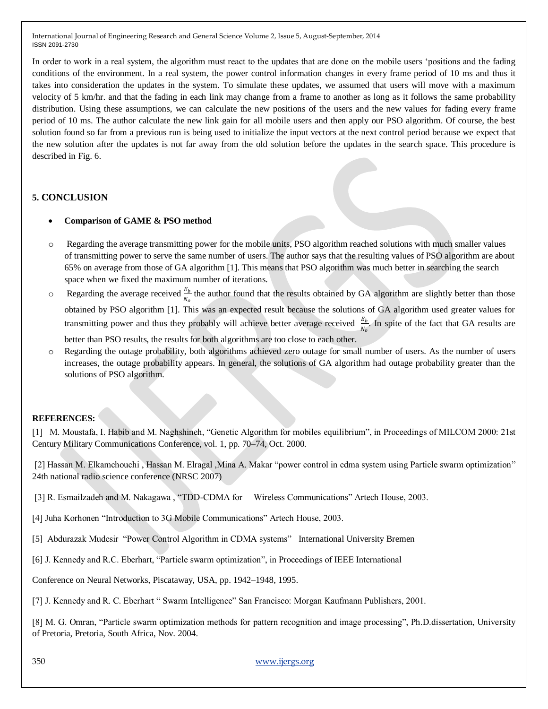In order to work in a real system, the algorithm must react to the updates that are done on the mobile users 'positions and the fading conditions of the environment. In a real system, the power control information changes in every frame period of 10 ms and thus it takes into consideration the updates in the system. To simulate these updates, we assumed that users will move with a maximum velocity of 5 km/hr. and that the fading in each link may change from a frame to another as long as it follows the same probability distribution. Using these assumptions, we can calculate the new positions of the users and the new values for fading every frame period of 10 ms. The author calculate the new link gain for all mobile users and then apply our PSO algorithm. Of course, the best solution found so far from a previous run is being used to initialize the input vectors at the next control period because we expect that the new solution after the updates is not far away from the old solution before the updates in the search space. This procedure is described in Fig. 6.

# **5. CONCLUSION**

- **Comparison of GAME & PSO method**
- o Regarding the average transmitting power for the mobile units, PSO algorithm reached solutions with much smaller values of transmitting power to serve the same number of users. The author says that the resulting values of PSO algorithm are about 65% on average from those of GA algorithm [1]. This means that PSO algorithm was much better in searching the search space when we fixed the maximum number of iterations.
- $\circ$  Regarding the average received  $\frac{E_b}{N_o}$  the author found that the results obtained by GA algorithm are slightly better than those obtained by PSO algorithm [1]. This was an expected result because the solutions of GA algorithm used greater values for transmitting power and thus they probably will achieve better average received  $\frac{E_b}{N_o}$ . In spite of the fact that GA results are better than PSO results, the results for both algorithms are too close to each other.
- Regarding the outage probability, both algorithms achieved zero outage for small number of users. As the number of users increases, the outage probability appears. In general, the solutions of GA algorithm had outage probability greater than the solutions of PSO algorithm.

# **REFERENCES:**

[1] M. Moustafa, I. Habib and M. Naghshineh, "Genetic Algorithm for mobiles equilibrium", in Proceedings of MILCOM 2000: 21st Century Military Communications Conference, vol. 1, pp. 70–74, Oct. 2000.

[2] Hassan M. Elkamchouchi, Hassan M. Elragal, Mina A. Makar "power control in cdma system using Particle swarm optimization" 24th national radio science conference (NRSC 2007)

- [3] R. Esmailzadeh and M. Nakagawa , "TDD-CDMA for Wireless Communications" Artech House, 2003.
- [4] Juha Korhonen "Introduction to 3G Mobile Communications" Artech House, 2003.
- [5] Abdurazak Mudesir "Power Control Algorithm in CDMA systems" International University Bremen
- [6] J. Kennedy and R.C. Eberhart, "Particle swarm optimization", in Proceedings of IEEE International

Conference on Neural Networks, Piscataway, USA, pp. 1942–1948, 1995.

[7] J. Kennedy and R. C. Eberhart " Swarm Intelligence" San Francisco: Morgan Kaufmann Publishers, 2001.

[8] M. G. Omran, "Particle swarm optimization methods for pattern recognition and image processing", Ph.D.dissertation, University of Pretoria, Pretoria, South Africa, Nov. 2004.